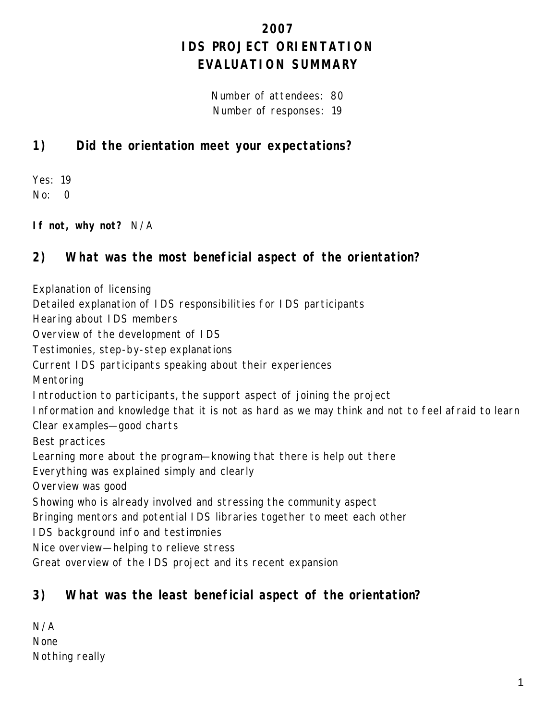# **2007 IDS PROJECT ORIENTATION EVALUATION SUMMARY**

Number of attendees: 80 Number of responses: 19

## **1) Did the orientation meet your expectations?**

Yes: 19 No: 0

**If not, why not?** N/A

## **2) What was the most beneficial aspect of the orientation?**

Explanation of licensing Detailed explanation of IDS responsibilities for IDS participants Hearing about IDS members Overview of the development of IDS Testimonies, step-by-step explanations Current IDS participants speaking about their experiences Mentoring Introduction to participants, the support aspect of joining the project Information and knowledge that it is not as hard as we may think and not to feel afraid to learn Clear examples—good charts Best practices Learning more about the program—knowing that there is help out there Everything was explained simply and clearly Overview was good Showing who is already involved and stressing the community aspect Bringing mentors and potential IDS libraries together to meet each other IDS background info and testimonies Nice overview—helping to relieve stress Great overview of the IDS project and its recent expansion

## **3) What was the least beneficial aspect of the orientation?**

| N/A            |  |
|----------------|--|
| <b>None</b>    |  |
| Nothing really |  |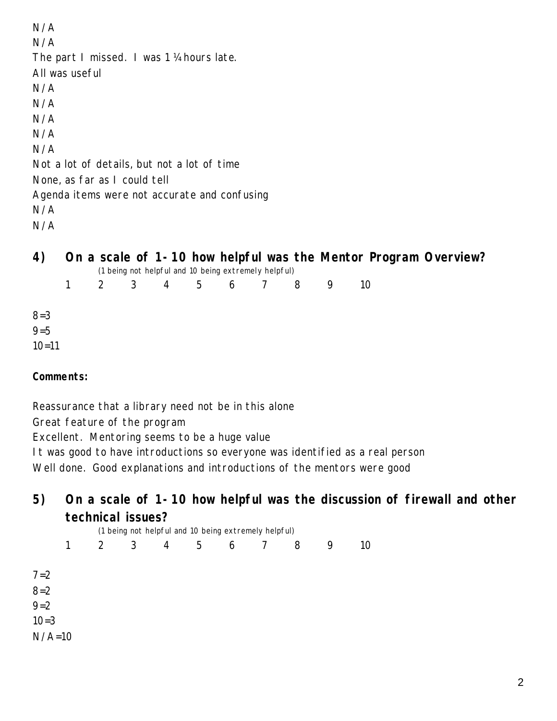N/A N/A The part I missed. I was 1 ¼ hours late. All was useful N/A N/A N/A N/A N/A Not a lot of details, but not a lot of time None, as far as I could tell Agenda items were not accurate and confusing N/A N/A

# **4) On a scale of 1-10 how helpful was the Mentor Program Overview?**

|           |              |             |           |                | (1 being not helpful and 10 being extremely helpful) |   |   |    |
|-----------|--------------|-------------|-----------|----------------|------------------------------------------------------|---|---|----|
|           | $\mathbf{1}$ | $2 \quad 3$ | $4 \quad$ | 5 <sup>5</sup> | 6                                                    | 8 | 9 | 10 |
| $8 = 3$   |              |             |           |                |                                                      |   |   |    |
| $9 = 5$   |              |             |           |                |                                                      |   |   |    |
| $10 = 11$ |              |             |           |                |                                                      |   |   |    |

### **Comments:**

Reassurance that a library need not be in this alone

Great feature of the program

Excellent. Mentoring seems to be a huge value

It was good to have introductions so everyone was identified as a real person

Well done. Good explanations and introductions of the mentors were good

## **5) On a scale of 1-10 how helpful was the discussion of firewall and other technical issues?**

|          | (1 being not helpful and 10 being extremely helpful) |   |   |   |                |                 |  |   |   |    |  |  |  |
|----------|------------------------------------------------------|---|---|---|----------------|-----------------|--|---|---|----|--|--|--|
|          | $\mathbf{1}$                                         | 2 | 3 | 4 | 5 <sup>5</sup> | $6\overline{6}$ |  | 8 | 9 | 10 |  |  |  |
| $7 = 2$  |                                                      |   |   |   |                |                 |  |   |   |    |  |  |  |
| $8 = 2$  |                                                      |   |   |   |                |                 |  |   |   |    |  |  |  |
| $9 = 2$  |                                                      |   |   |   |                |                 |  |   |   |    |  |  |  |
| $10=3$   |                                                      |   |   |   |                |                 |  |   |   |    |  |  |  |
| $N/A=10$ |                                                      |   |   |   |                |                 |  |   |   |    |  |  |  |
|          |                                                      |   |   |   |                |                 |  |   |   |    |  |  |  |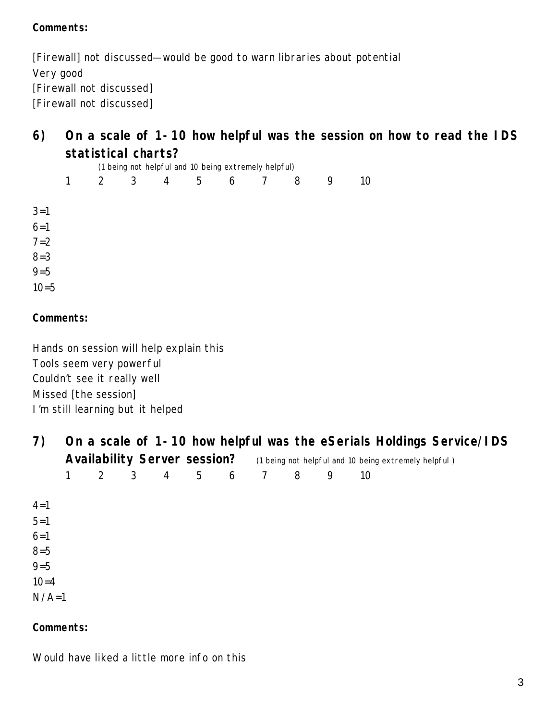### **Comments:**

[Firewall] not discussed—would be good to warn libraries about potential Very good [Firewall not discussed] [Firewall not discussed]

## **6) On a scale of 1-10 how helpful was the session on how to read the IDS statistical charts?**

|          |              |   |   |                |                 | (1 being not helpful and 10 being extremely helpful) |   |   |                 |
|----------|--------------|---|---|----------------|-----------------|------------------------------------------------------|---|---|-----------------|
|          | $\mathbf{1}$ | 2 | 3 | $\overline{4}$ | $5\overline{)}$ | 6 7                                                  | 8 | 9 | 10 <sup>°</sup> |
| $3 = 1$  |              |   |   |                |                 |                                                      |   |   |                 |
| $6 = 1$  |              |   |   |                |                 |                                                      |   |   |                 |
| $7 = 2$  |              |   |   |                |                 |                                                      |   |   |                 |
| $8 = 3$  |              |   |   |                |                 |                                                      |   |   |                 |
| $9 = 5$  |              |   |   |                |                 |                                                      |   |   |                 |
| $10 = 5$ |              |   |   |                |                 |                                                      |   |   |                 |

#### **Comments:**

Hands on session will help explain this Tools seem very powerful Couldn't see it really well Missed [the session] I'm still learning but it helped

| 7)       |                                     |   |                |                |  |       |                                                      |   |   | On a scale of 1-10 how helpful was the eSerials Holdings Service/IDS |  |  |  |
|----------|-------------------------------------|---|----------------|----------------|--|-------|------------------------------------------------------|---|---|----------------------------------------------------------------------|--|--|--|
|          | <b>Availability Server session?</b> |   |                |                |  |       | (1 being not helpful and 10 being extremely helpful) |   |   |                                                                      |  |  |  |
|          |                                     | 2 | 3 <sup>7</sup> | $\overline{4}$ |  | 5 6 7 |                                                      | 8 | 9 | 10                                                                   |  |  |  |
|          |                                     |   |                |                |  |       |                                                      |   |   |                                                                      |  |  |  |
| $4 = 1$  |                                     |   |                |                |  |       |                                                      |   |   |                                                                      |  |  |  |
| $5 = 1$  |                                     |   |                |                |  |       |                                                      |   |   |                                                                      |  |  |  |
| $6 = 1$  |                                     |   |                |                |  |       |                                                      |   |   |                                                                      |  |  |  |
| $8 = 5$  |                                     |   |                |                |  |       |                                                      |   |   |                                                                      |  |  |  |
| $9 = 5$  |                                     |   |                |                |  |       |                                                      |   |   |                                                                      |  |  |  |
| $10 = 4$ |                                     |   |                |                |  |       |                                                      |   |   |                                                                      |  |  |  |
| $N/A=1$  |                                     |   |                |                |  |       |                                                      |   |   |                                                                      |  |  |  |

#### **Comments:**

Would have liked a little more info on this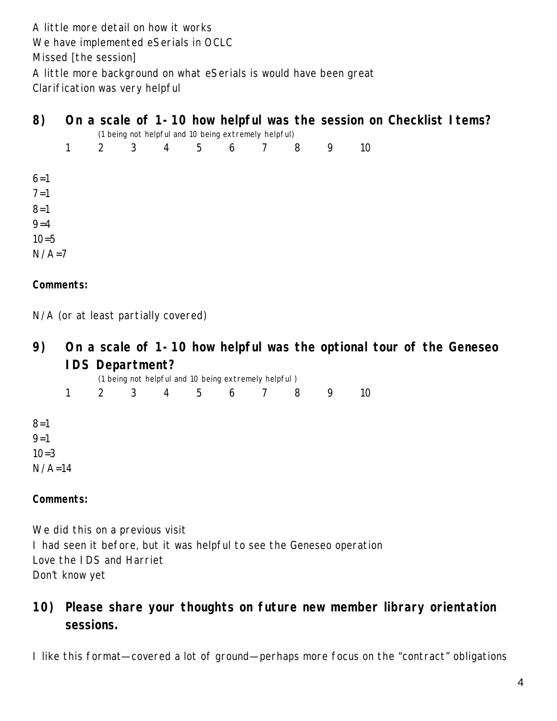A little more detail on how it works We have implemented eSerials in OCLC Missed [the session] A little more background on what eSerials is would have been great Clarification was very helpful

| 8)                |              |  |  | (1 being not helpful and 10 being extremely helpful) |  |   |    | On a scale of 1-10 how helpful was the session on Checklist I tems? |  |
|-------------------|--------------|--|--|------------------------------------------------------|--|---|----|---------------------------------------------------------------------|--|
|                   | $\mathbf{1}$ |  |  | 2 3 4 5 6 7 8                                        |  | 9 | 10 |                                                                     |  |
| $6=1$             |              |  |  |                                                      |  |   |    |                                                                     |  |
| $7 = 1$           |              |  |  |                                                      |  |   |    |                                                                     |  |
| $8 = 1$           |              |  |  |                                                      |  |   |    |                                                                     |  |
| $9 - 4$           |              |  |  |                                                      |  |   |    |                                                                     |  |
| $10=5$<br>$N/A=7$ |              |  |  |                                                      |  |   |    |                                                                     |  |

### **Comments:**

N/A (or at least partially covered)

**9) On a scale of 1-10 how helpful was the optional tour of the Geneseo IDS Department?**

|          |              |   |   |   | (1 being not helpful and 10 being extremely helpful) |                |   |   |    |
|----------|--------------|---|---|---|------------------------------------------------------|----------------|---|---|----|
|          | $\mathbf{1}$ | 2 | 3 | 4 | 5 6                                                  | $\overline{7}$ | 8 | 9 | 10 |
| $8 = 1$  |              |   |   |   |                                                      |                |   |   |    |
| $9 = 1$  |              |   |   |   |                                                      |                |   |   |    |
| $10 = 3$ |              |   |   |   |                                                      |                |   |   |    |
| $N/A=14$ |              |   |   |   |                                                      |                |   |   |    |

#### **Comments:**

We did this on a previous visit I had seen it before, but it was helpful to see the Geneseo operation Love the IDS and Harriet Don't know yet

**10) Please share your thoughts on future new member library orientation sessions.**

I like this format—covered a lot of ground—perhaps more focus on the "contract" obligations